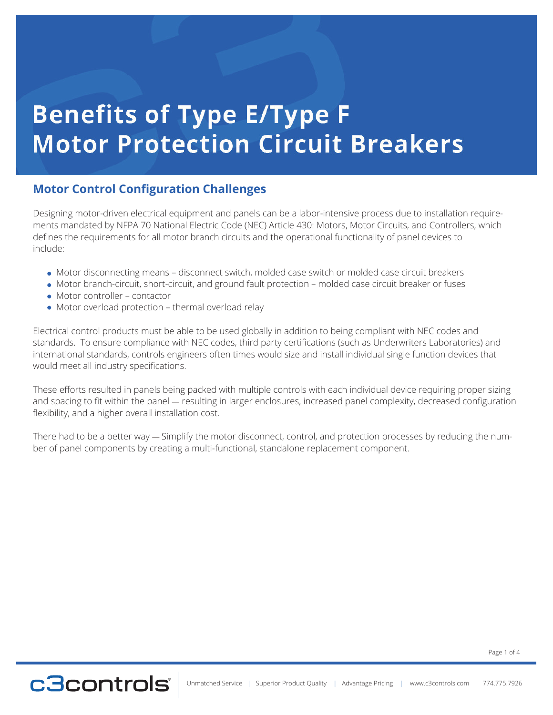# **Benefits of Type E/Type F Motor Protection Circuit Breakers**

### **Motor Control Configuration Challenges**

Designing motor-driven electrical equipment and panels can be a labor-intensive process due to installation requirements mandated by NFPA 70 National Electric Code (NEC) Article 430: Motors, Motor Circuits, and Controllers, which defines the requirements for all motor branch circuits and the operational functionality of panel devices to include:

- Motor disconnecting means disconnect switch, molded case switch or molded case circuit breakers
- Motor branch-circuit, short-circuit, and ground fault protection molded case circuit breaker or fuses
- Motor controller contactor
- Motor overload protection thermal overload relay

Electrical control products must be able to be used globally in addition to being compliant with NEC codes and standards. To ensure compliance with NEC codes, third party certifications (such as Underwriters Laboratories) and international standards, controls engineers often times would size and install individual single function devices that would meet all industry specifications.

These efforts resulted in panels being packed with multiple controls with each individual device requiring proper sizing and spacing to fit within the panel — resulting in larger enclosures, increased panel complexity, decreased configuration flexibility, and a higher overall installation cost.

There had to be a better way — Simplify the motor disconnect, control, and protection processes by reducing the number of panel components by creating a multi-functional, standalone replacement component.

Page 1 of 4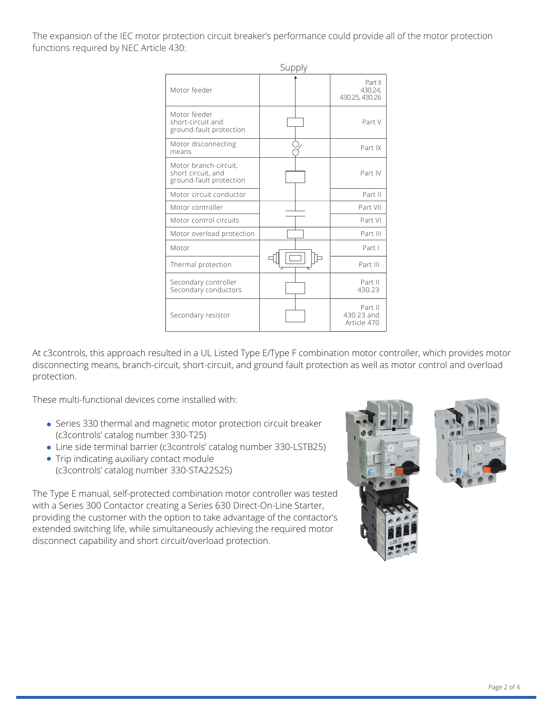The expansion of the IEC motor protection circuit breaker's performance could provide all of the motor protection functions required by NEC Article 430:

|                                                                        | Supply |                                      |  |
|------------------------------------------------------------------------|--------|--------------------------------------|--|
| Motor feeder                                                           |        | Part II<br>430.24,<br>430.25, 430.26 |  |
| Motor feeder<br>short-circuit and<br>ground-fault protection           |        | Part V                               |  |
| Motor disconnecting<br>means                                           |        | Part IX                              |  |
| Motor branch-circuit,<br>short circuit, and<br>ground-fault protection |        | Part IV                              |  |
| Motor circuit conductor                                                |        | Part II                              |  |
| Motor controller                                                       |        | Part VII                             |  |
| Motor control circuits                                                 |        | Part VI                              |  |
| Motor overload protection                                              |        | Part III                             |  |
| Motor                                                                  |        | Part I                               |  |
| Thermal protection                                                     |        | Part III                             |  |
| Secondary controller<br>Secondary conductors                           |        | Part II<br>430.23                    |  |
| Secondary resistor                                                     |        | Part II<br>430.23 and<br>Article 470 |  |

At c3controls, this approach resulted in a UL Listed Type E/Type F combination motor controller, which provides motor disconnecting means, branch-circuit, short-circuit, and ground fault protection as well as motor control and overload protection.

These multi-functional devices come installed with:

- Series 330 thermal and magnetic motor protection circuit breaker (c3controls' catalog number 330-T25)
- Line side terminal barrier (c3controls' catalog number 330-LSTB25)
- Trip indicating auxiliary contact module (c3controls' catalog number 330-STA22S25)

The Type E manual, self-protected combination motor controller was tested with a Series 300 Contactor creating a Series 630 Direct-On-Line Starter, providing the customer with the option to take advantage of the contactor's extended switching life, while simultaneously achieving the required motor disconnect capability and short circuit/overload protection.



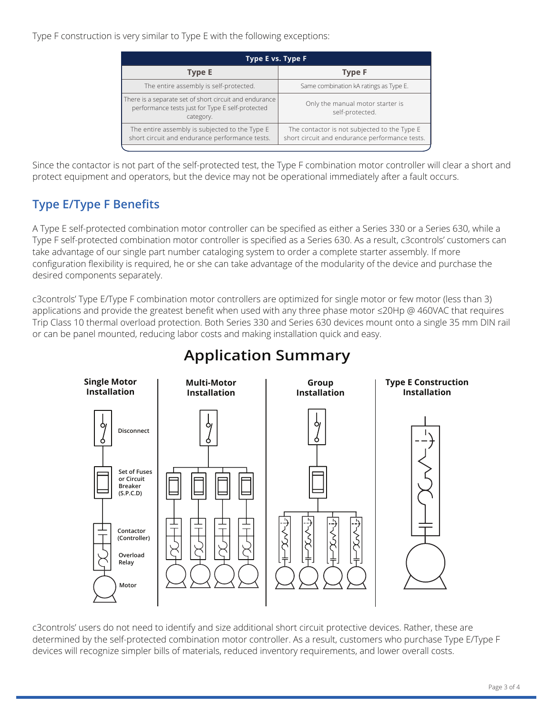Type F construction is very similar to Type E with the following exceptions:

| Type E vs. Type F                                                                                                       |                                                                                                |  |  |
|-------------------------------------------------------------------------------------------------------------------------|------------------------------------------------------------------------------------------------|--|--|
| <b>Type E</b>                                                                                                           | <b>Type F</b>                                                                                  |  |  |
| The entire assembly is self-protected.                                                                                  | Same combination kA ratings as Type E.                                                         |  |  |
| There is a separate set of short circuit and endurance<br>performance tests just for Type E self-protected<br>category. | Only the manual motor starter is<br>self-protected.                                            |  |  |
| The entire assembly is subjected to the Type E<br>short circuit and endurance performance tests.                        | The contactor is not subjected to the Type E<br>short circuit and endurance performance tests. |  |  |
|                                                                                                                         |                                                                                                |  |  |

Since the contactor is not part of the self-protected test, the Type F combination motor controller will clear a short and protect equipment and operators, but the device may not be operational immediately after a fault occurs.

### **Type E/Type F Benefits**

A Type E self-protected combination motor controller can be specified as either a Series 330 or a Series 630, while a Type F self-protected combination motor controller is specified as a Series 630. As a result, c3controls' customers can take advantage of our single part number cataloging system to order a complete starter assembly. If more configuration flexibility is required, he or she can take advantage of the modularity of the device and purchase the desired components separately.

c3controls' Type E/Type F combination motor controllers are optimized for single motor or few motor (less than 3) applications and provide the greatest benefit when used with any three phase motor ≤20Hp @ 460VAC that requires Trip Class 10 thermal overload protection. Both Series 330 and Series 630 devices mount onto a single 35 mm DIN rail or can be panel mounted, reducing labor costs and making installation quick and easy.



### **Application Summary**

c3controls' users do not need to identify and size additional short circuit protective devices. Rather, these are determined by the self-protected combination motor controller. As a result, customers who purchase Type E/Type F devices will recognize simpler bills of materials, reduced inventory requirements, and lower overall costs.